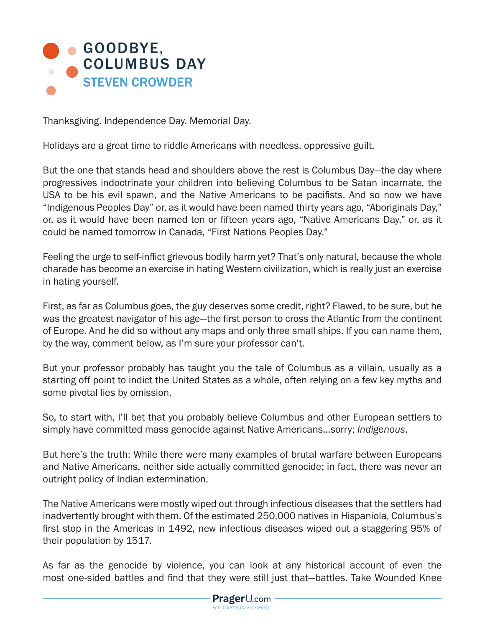

Thanksgiving. Independence Day. Memorial Day.

Holidays are a great time to riddle Americans with needless, oppressive guilt.

But the one that stands head and shoulders above the rest is Columbus Day—the day where progressives indoctrinate your children into believing Columbus to be Satan incarnate, the USA to be his evil spawn, and the Native Americans to be pacifists. And so now we have "Indigenous Peoples Day" or, as it would have been named thirty years ago, "Aboriginals Day," or, as it would have been named ten or fifteen years ago, "Native Americans Day," or, as it could be named tomorrow in Canada, "First Nations Peoples Day."

Feeling the urge to self-inflict grievous bodily harm yet? That's only natural, because the whole charade has become an exercise in hating Western civilization, which is really just an exercise in hating yourself.

First, as far as Columbus goes, the guy deserves some credit, right? Flawed, to be sure, but he was the greatest navigator of his age—the first person to cross the Atlantic from the continent of Europe. And he did so without any maps and only three small ships. If you can name them, by the way, comment below, as I'm sure your professor can't.

But your professor probably has taught you the tale of Columbus as a villain, usually as a starting off point to indict the United States as a whole, often relying on a few key myths and some pivotal lies by omission.

So, to start with, I'll bet that you probably believe Columbus and other European settlers to simply have committed mass genocide against Native Americans…sorry; *Indigenous*.

But here's the truth: While there were many examples of brutal warfare between Europeans and Native Americans, neither side actually committed genocide; in fact, there was never an outright policy of Indian extermination.

The Native Americans were mostly wiped out through infectious diseases that the settlers had inadvertently brought with them. Of the estimated 250,000 natives in Hispaniola, Columbus's first stop in the Americas in 1492, new infectious diseases wiped out a staggering 95% of their population by 1517.

As far as the genocide by violence, you can look at any historical account of even the most one-sided battles and find that they were still just that—battles. Take Wounded Knee

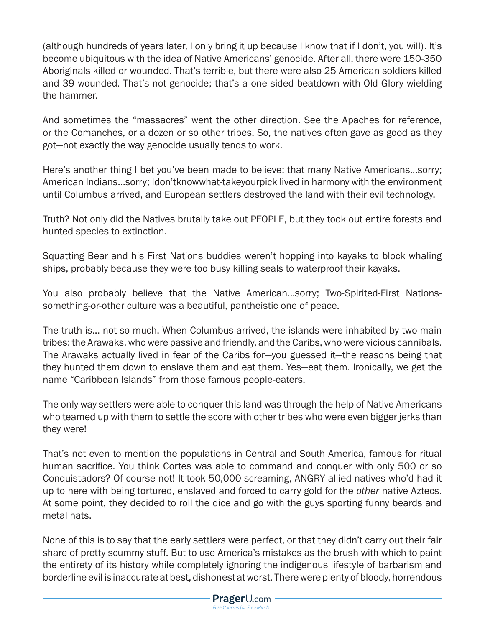(although hundreds of years later, I only bring it up because I know that if I don't, you will). It's become ubiquitous with the idea of Native Americans' genocide. After all, there were 150-350 Aboriginals killed or wounded. That's terrible, but there were also 25 American soldiers killed and 39 wounded. That's not genocide; that's a one-sided beatdown with Old Glory wielding the hammer.

And sometimes the "massacres" went the other direction. See the Apaches for reference, or the Comanches, or a dozen or so other tribes. So, the natives often gave as good as they got—not exactly the way genocide usually tends to work.

Here's another thing I bet you've been made to believe: that many Native Americans…sorry; American Indians…sorry; Idon'tknowwhat-takeyourpick lived in harmony with the environment until Columbus arrived, and European settlers destroyed the land with their evil technology.

Truth? Not only did the Natives brutally take out PEOPLE, but they took out entire forests and hunted species to extinction.

Squatting Bear and his First Nations buddies weren't hopping into kayaks to block whaling ships, probably because they were too busy killing seals to waterproof their kayaks.

You also probably believe that the Native American…sorry; Two-Spirited-First Nationssomething-or-other culture was a beautiful, pantheistic one of peace.

The truth is... not so much. When Columbus arrived, the islands were inhabited by two main tribes: the Arawaks, who were passive and friendly, and the Caribs, who were vicious cannibals. The Arawaks actually lived in fear of the Caribs for—you guessed it—the reasons being that they hunted them down to enslave them and eat them. Yes—eat them. Ironically, we get the name "Caribbean Islands" from those famous people-eaters.

The only way settlers were able to conquer this land was through the help of Native Americans who teamed up with them to settle the score with other tribes who were even bigger jerks than they were!

That's not even to mention the populations in Central and South America, famous for ritual human sacrifice. You think Cortes was able to command and conquer with only 500 or so Conquistadors? Of course not! It took 50,000 screaming, ANGRY allied natives who'd had it up to here with being tortured, enslaved and forced to carry gold for the *other* native Aztecs. At some point, they decided to roll the dice and go with the guys sporting funny beards and metal hats.

None of this is to say that the early settlers were perfect, or that they didn't carry out their fair share of pretty scummy stuff. But to use America's mistakes as the brush with which to paint the entirety of its history while completely ignoring the indigenous lifestyle of barbarism and borderline evil is inaccurate at best, dishonest at worst. There were plenty of bloody, horrendous